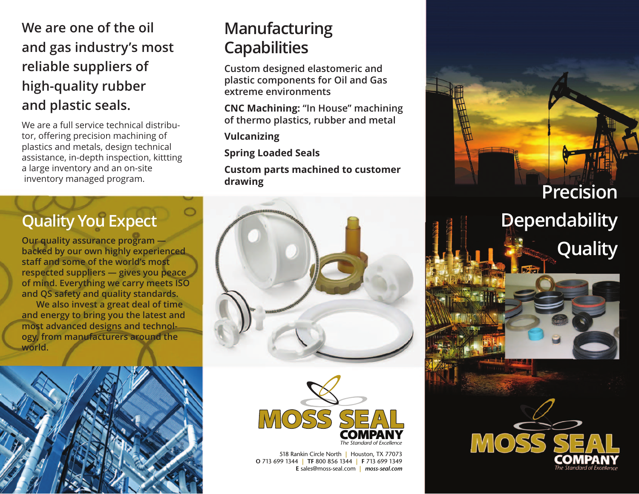#### **We are one of the oil and gas industry's most reliable suppliers of high-quality rubber and plastic seals.**

We are a full service technical distributor, offering precision machining of plastics and metals, design technical assistance, in-depth inspection, kittting a large inventory and an on-site inventory managed program.

### **Quality You Expect**

**Our quality assurance program backed by our own highly experienced staff and some of the world's most respected suppliers — gives you peace of mind. Everything we carry meets ISO and QS safety and quality standards.**

**We also invest a great deal of time and energy to bring you the latest and most advanced designs and technology, from manufacturers around the world.**



## **Manufacturing Capabilities**

**Custom designed elastomeric and plastic components for Oil and Gas extreme environments**

**CNC Machining: "In House" machining of thermo plastics, rubber and metal**

**Vulcanizing**

**Spring Loaded Seals**

**Custom parts machined to customer drawing**





518 Rankin Circle North **|** Houston, TX 77073 **O** 713 699 1344 **| TF** 800 856 1344 **| F** 713 699 1349 **E** sales@moss-seal.com **|** *moss-seal.com*

**Precision Dependability Quality**